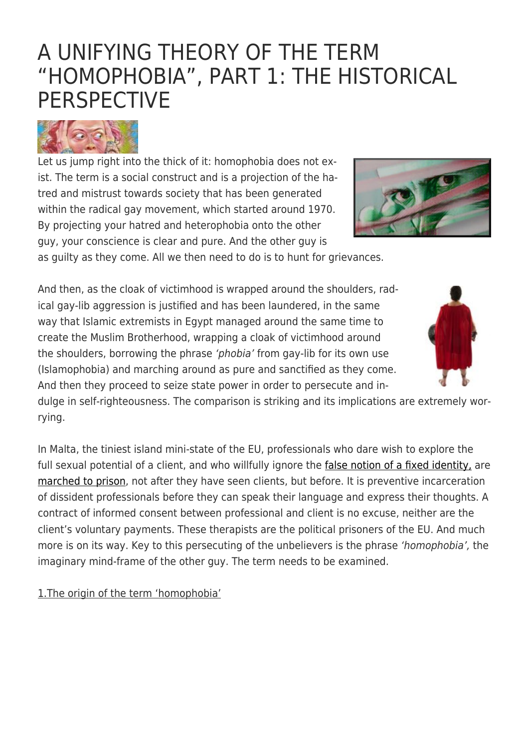# [A UNIFYING THEORY OF THE TERM](https://exgaycalling.com/2019/02/19/towards-a-unifying-theory-of-the-term-homophobia-part-1-the-historic-perspective/) ["HOMOPHOBIA", PART 1: THE HISTORICAL](https://exgaycalling.com/2019/02/19/towards-a-unifying-theory-of-the-term-homophobia-part-1-the-historic-perspective/) **[PERSPECTIVE](https://exgaycalling.com/2019/02/19/towards-a-unifying-theory-of-the-term-homophobia-part-1-the-historic-perspective/)**

Let us jump right into the thick of it: homophobia does not exist. The term is a social construct and is a projection of the hatred and mistrust towards society that has been generated within the radical gay movement, which started around 1970. By projecting your hatred and heterophobia onto the other guy, your conscience is clear and pure. And the other guy is



as guilty as they come. All we then need to do is to hunt for grievances.

And then, as the cloak of victimhood is wrapped around the shoulders, radical gay-lib aggression is justified and has been laundered, in the same way that Islamic extremists in Egypt managed around the same time to create the Muslim Brotherhood, wrapping a cloak of victimhood around the shoulders, borrowing the phrase 'phobia' from gay-lib for its own use (Islamophobia) and marching around as pure and sanctified as they come. And then they proceed to seize state power in order to persecute and in-



dulge in self-righteousness. The comparison is striking and its implications are extremely worrying.

In Malta, the tiniest island mini-state of the EU, professionals who dare wish to explore the full sexual potential of a client, and who willfully ignore the [false notion of a fixed identity,](https://exgaycalling.com/2016/05/26/the-false-notion-of-sexual-orientation/) are [marched to prison](https://exgaycalling.com/2016/12/19/via-malta-the-eu-has-been-conquered-overnight/), not after they have seen clients, but before. It is preventive incarceration of dissident professionals before they can speak their language and express their thoughts. A contract of informed consent between professional and client is no excuse, neither are the client's voluntary payments. These therapists are the political prisoners of the EU. And much more is on its way. Key to this persecuting of the unbelievers is the phrase 'homophobia', the imaginary mind-frame of the other guy. The term needs to be examined.

1.The origin of the term 'homophobia'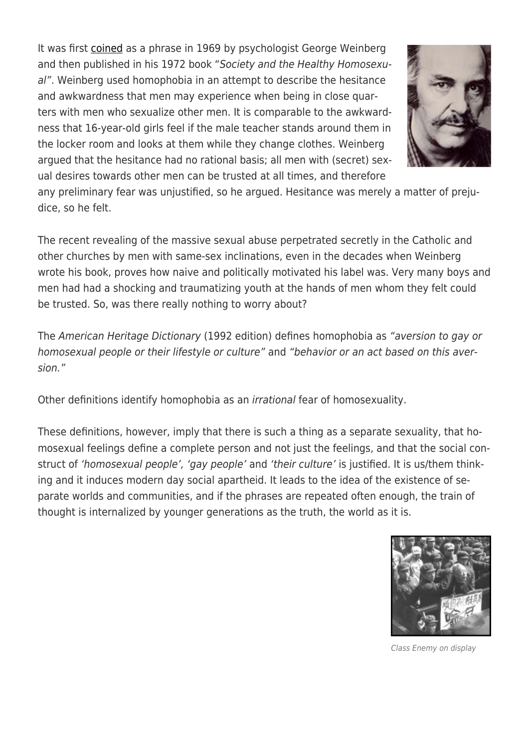It was first [coined](https://psychology.ucdavis.edu/rainbow/html/prej_defn.html) as a phrase in 1969 by psychologist George Weinberg and then published in his 1972 book "Society and the Healthy Homosexual". Weinberg used homophobia in an attempt to describe the hesitance and awkwardness that men may experience when being in close quarters with men who sexualize other men. It is comparable to the awkwardness that 16-year-old girls feel if the male teacher stands around them in the locker room and looks at them while they change clothes. Weinberg argued that the hesitance had no rational basis; all men with (secret) sexual desires towards other men can be trusted at all times, and therefore



any preliminary fear was unjustified, so he argued. Hesitance was merely a matter of prejudice, so he felt.

The recent revealing of the massive sexual abuse perpetrated secretly in the Catholic and other churches by men with same-sex inclinations, even in the decades when Weinberg wrote his book, proves how naive and politically motivated his label was. Very many boys and men had had a shocking and traumatizing youth at the hands of men whom they felt could be trusted. So, was there really nothing to worry about?

The American Heritage Dictionary (1992 edition) defines homophobia as "aversion to gay or homosexual people or their lifestyle or culture" and "behavior or an act based on this aversion."

Other definitions identify homophobia as an irrational fear of homosexuality.

These definitions, however, imply that there is such a thing as a separate sexuality, that homosexual feelings define a complete person and not just the feelings, and that the social construct of 'homosexual people', 'gay people' and 'their culture' is justified. It is us/them thinking and it induces modern day social apartheid. It leads to the idea of the existence of separate worlds and communities, and if the phrases are repeated often enough, the train of thought is internalized by younger generations as the truth, the world as it is.



Class Enemy on display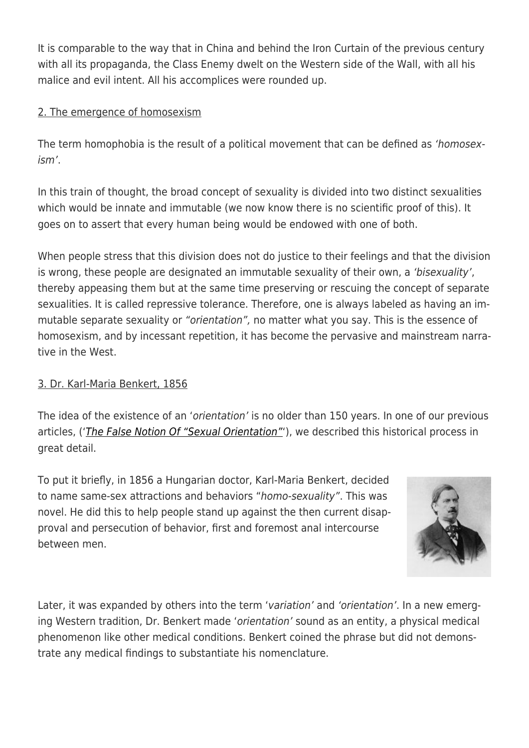It is comparable to the way that in China and behind the Iron Curtain of the previous century with all its propaganda, the Class Enemy dwelt on the Western side of the Wall, with all his malice and evil intent. All his accomplices were rounded up.

## 2. The emergence of homosexism

The term homophobia is the result of a political movement that can be defined as 'homosexism'.

In this train of thought, the broad concept of sexuality is divided into two distinct sexualities which would be innate and immutable (we now know there is no scientific proof of this). It goes on to assert that every human being would be endowed with one of both.

When people stress that this division does not do justice to their feelings and that the division is wrong, these people are designated an immutable sexuality of their own, a 'bisexuality', thereby appeasing them but at the same time preserving or rescuing the concept of separate sexualities. It is called repressive tolerance. Therefore, one is always labeled as having an immutable separate sexuality or "orientation", no matter what you say. This is the essence of homosexism, and by incessant repetition, it has become the pervasive and mainstream narrative in the West.

# 3. Dr. Karl-Maria Benkert, 1856

The idea of the existence of an 'orientation' is no older than 150 years. In one of our previous articles, ('[The False Notion Of "Sexual Orientation"](https://exgaycalling.com/2016/05/26/the-false-notion-of-sexual-orientation/)'), we described this historical process in great detail.

To put it briefly, in 1856 a Hungarian doctor, Karl-Maria Benkert, decided to name same-sex attractions and behaviors "homo-sexuality". This was novel. He did this to help people stand up against the then current disapproval and persecution of behavior, first and foremost anal intercourse between men.



Later, it was expanded by others into the term 'variation' and 'orientation'. In a new emerging Western tradition, Dr. Benkert made 'orientation' sound as an entity, a physical medical phenomenon like other medical conditions. Benkert coined the phrase but did not demonstrate any medical findings to substantiate his nomenclature.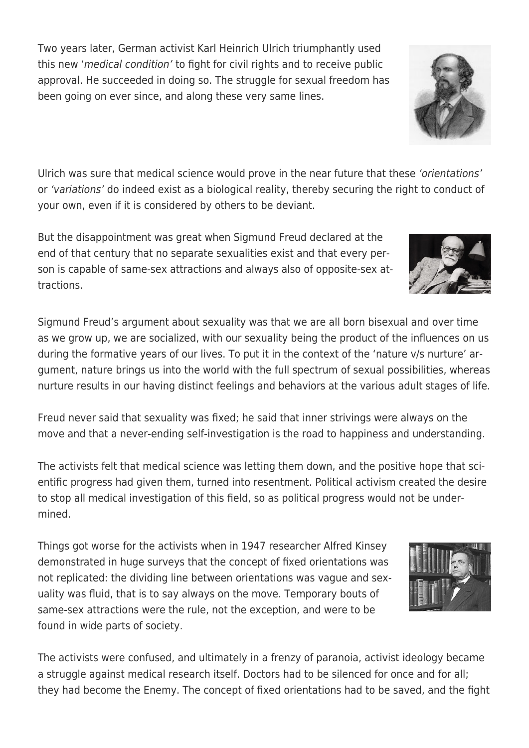approval. He succeeded in doing so. The struggle for sexual freedom has been going on ever since, and along these very same lines.

Two years later, German activist Karl Heinrich Ulrich triumphantly used this new 'medical condition' to fight for civil rights and to receive public

Ulrich was sure that medical science would prove in the near future that these 'orientations' or 'variations' do indeed exist as a biological reality, thereby securing the right to conduct of your own, even if it is considered by others to be deviant.

But the disappointment was great when Sigmund Freud declared at the end of that century that no separate sexualities exist and that every person is capable of same-sex attractions and always also of opposite-sex attractions.

Sigmund Freud's argument about sexuality was that we are all born bisexual and over time as we grow up, we are socialized, with our sexuality being the product of the influences on us during the formative years of our lives. To put it in the context of the 'nature v/s nurture' argument, nature brings us into the world with the full spectrum of sexual possibilities, whereas nurture results in our having distinct feelings and behaviors at the various adult stages of life.

Freud never said that sexuality was fixed; he said that inner strivings were always on the move and that a never-ending self-investigation is the road to happiness and understanding.

The activists felt that medical science was letting them down, and the positive hope that scientific progress had given them, turned into resentment. Political activism created the desire to stop all medical investigation of this field, so as political progress would not be undermined.

Things got worse for the activists when in 1947 researcher Alfred Kinsey demonstrated in huge surveys that the concept of fixed orientations was not replicated: the dividing line between orientations was vague and sexuality was fluid, that is to say always on the move. Temporary bouts of same-sex attractions were the rule, not the exception, and were to be found in wide parts of society.

The activists were confused, and ultimately in a frenzy of paranoia, activist ideology became a struggle against medical research itself. Doctors had to be silenced for once and for all; they had become the Enemy. The concept of fixed orientations had to be saved, and the fight







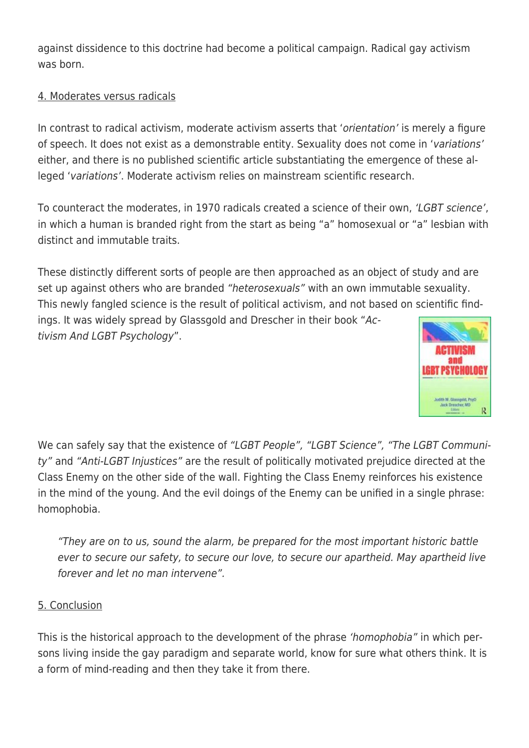against dissidence to this doctrine had become a political campaign. Radical gay activism was born.

## 4. Moderates versus radicals

In contrast to radical activism, moderate activism asserts that 'orientation' is merely a figure of speech. It does not exist as a demonstrable entity. Sexuality does not come in 'variations' either, and there is no published scientific article substantiating the emergence of these alleged 'variations'. Moderate activism relies on mainstream scientific research.

To counteract the moderates, in 1970 radicals created a science of their own, 'LGBT science', in which a human is branded right from the start as being "a" homosexual or "a" lesbian with distinct and immutable traits.

These distinctly different sorts of people are then approached as an object of study and are set up against others who are branded "heterosexuals" with an own immutable sexuality. This newly fangled science is the result of political activism, and not based on scientific findings. It was widely spread by Glassgold and Drescher in their book "Activism And LGBT Psychology".



We can safely say that the existence of "LGBT People", "LGBT Science", "The LGBT Community" and "Anti-LGBT Injustices" are the result of politically motivated prejudice directed at the Class Enemy on the other side of the wall. Fighting the Class Enemy reinforces his existence in the mind of the young. And the evil doings of the Enemy can be unified in a single phrase: homophobia.

"They are on to us, sound the alarm, be prepared for the most important historic battle ever to secure our safety, to secure our love, to secure our apartheid. May apartheid live forever and let no man intervene".

#### 5. Conclusion

This is the historical approach to the development of the phrase 'homophobia" in which persons living inside the gay paradigm and separate world, know for sure what others think. It is a form of mind-reading and then they take it from there.